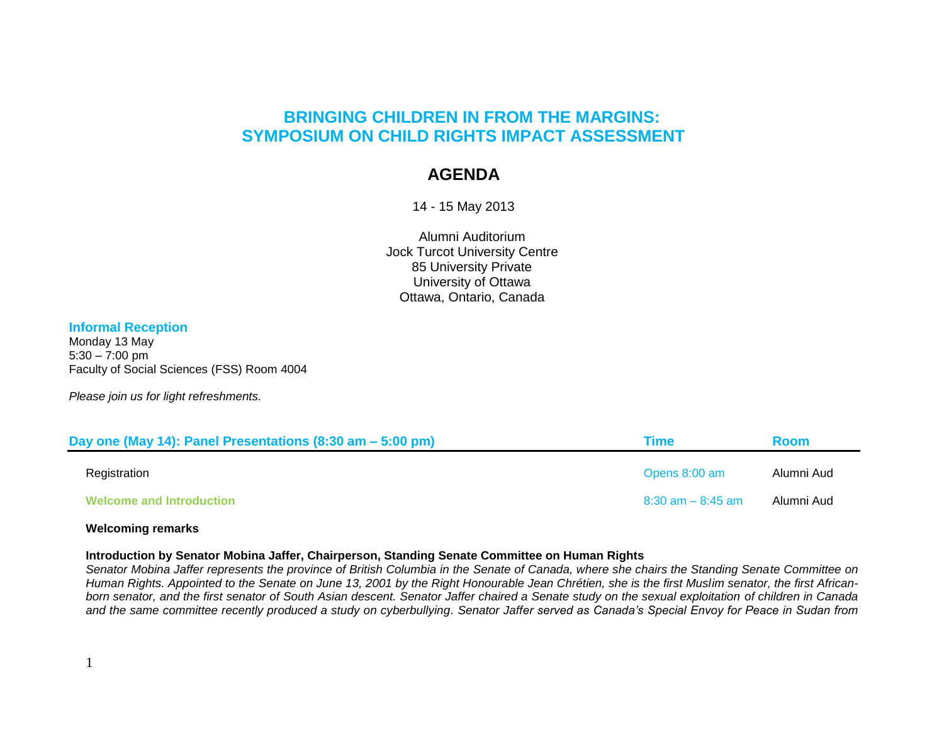# **BRINGING CHILDREN IN FROM THE MARGINS: SYMPOSIUM ON CHILD RIGHTS IMPACT ASSESSMENT**

# **AGENDA**

14 - 15 May 2013

Alumni Auditorium Jock Turcot University Centre 85 University Private University of Ottawa Ottawa, Ontario, Canada

## **Informal Reception**

Monday 13 May  $5:30 - 7:00 \text{ pm}$ Faculty of Social Sciences (FSS) Room 4004

*Please join us for light refreshments.*

| Day one (May 14): Panel Presentations (8:30 am – 5:00 pm) | Time                 | <b>Room</b> |
|-----------------------------------------------------------|----------------------|-------------|
| Registration                                              | Opens 8:00 am        | Alumni Aud  |
| <b>Welcome and Introduction</b>                           | $8:30$ am $-8:45$ am | Alumni Aud  |

## **Welcoming remarks**

### **Introduction by Senator Mobina Jaffer, Chairperson, Standing Senate Committee on Human Rights**

*Senator Mobina Jaffer represents the province of British Columbia in the Senate of Canada, where she chairs the Standing Senate Committee on Human Rights. Appointed to the Senate on June 13, 2001 by the Right Honourable Jean Chrétien, she is the first Muslim senator, the first Africanborn senator, and the first senator of South Asian descent. Senator Jaffer chaired a Senate study on the sexual exploitation of children in Canada and the same committee recently produced a study on cyberbullying. Senator Jaffer served as Canada"s Special Envoy for Peace in Sudan from*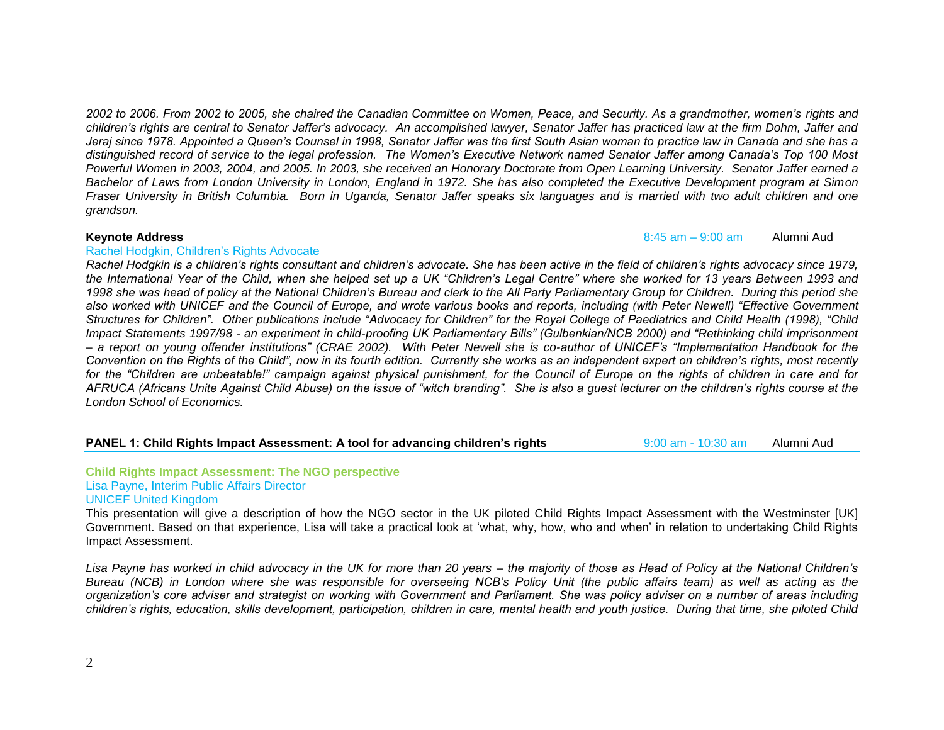*2002 to 2006. From 2002 to 2005, she chaired the Canadian Committee on Women, Peace, and Security. As a grandmother, women"s rights and children"s rights are central to Senator Jaffer"s advocacy. An accomplished lawyer, Senator Jaffer has practiced law at the firm Dohm, Jaffer and Jeraj since 1978. Appointed a Queen"s Counsel in 1998, Senator Jaffer was the first South Asian woman to practice law in Canada and she has a distinguished record of service to the legal profession. The Women"s Executive Network named Senator Jaffer among Canada"s Top 100 Most Powerful Women in 2003, 2004, and 2005. In 2003, she received an Honorary Doctorate from Open Learning University. Senator Jaffer earned a Bachelor of Laws from London University in London, England in 1972. She has also completed the Executive Development program at Simon Fraser University in British Columbia. Born in Uganda, Senator Jaffer speaks six languages and is married with two adult children and one grandson.* 

#### **Keynote Address** 8:45 am – 9:00 am Alumni Aud

#### Rachel Hodgkin, Children"s Rights Advocate

*Rachel Hodgkin is a children"s rights consultant and children"s advocate. She has been active in the field of children"s rights advocacy since 1979, the International Year of the Child, when she helped set up a UK "Children"s Legal Centre" where she worked for 13 years Between 1993 and 1998 she was head of policy at the National Children"s Bureau and clerk to the All Party Parliamentary Group for Children. During this period she also worked with UNICEF and the Council of Europe, and wrote various books and reports, including (with Peter Newell) "Effective Government Structures for Children". Other publications include "Advocacy for Children" for the Royal College of Paediatrics and Child Health (1998), "Child Impact Statements 1997/98 - an experiment in child-proofing UK Parliamentary Bills" (Gulbenkian/NCB 2000) and "Rethinking child imprisonment – a report on young offender institutions" (CRAE 2002). With Peter Newell she is co-author of UNICEF"s "Implementation Handbook for the Convention on the Rights of the Child", now in its fourth edition. Currently she works as an independent expert on children"s rights, most recently for the "Children are unbeatable!" campaign against physical punishment, for the Council of Europe on the rights of children in care and for AFRUCA (Africans Unite Against Child Abuse) on the issue of "witch branding". She is also a guest lecturer on the children"s rights course at the London School of Economics.*

### **PANEL 1: Child Rights Impact Assessment: A tool for advancing children's rights** 9:00 am - 10:30 am Alumni Aud

#### **Child Rights Impact Assessment: The NGO perspective** Lisa Payne, Interim Public Affairs Director UNICEF United Kingdom

This presentation will give a description of how the NGO sector in the UK piloted Child Rights Impact Assessment with the Westminster [UK] Government. Based on that experience, Lisa will take a practical look at "what, why, how, who and when" in relation to undertaking Child Rights Impact Assessment.

*Lisa Payne has worked in child advocacy in the UK for more than 20 years – the majority of those as Head of Policy at the National Children"s Bureau (NCB) in London where she was responsible for overseeing NCB"s Policy Unit (the public affairs team) as well as acting as the organization"s core adviser and strategist on working with Government and Parliament. She was policy adviser on a number of areas including children"s rights, education, skills development, participation, children in care, mental health and youth justice. During that time, she piloted Child*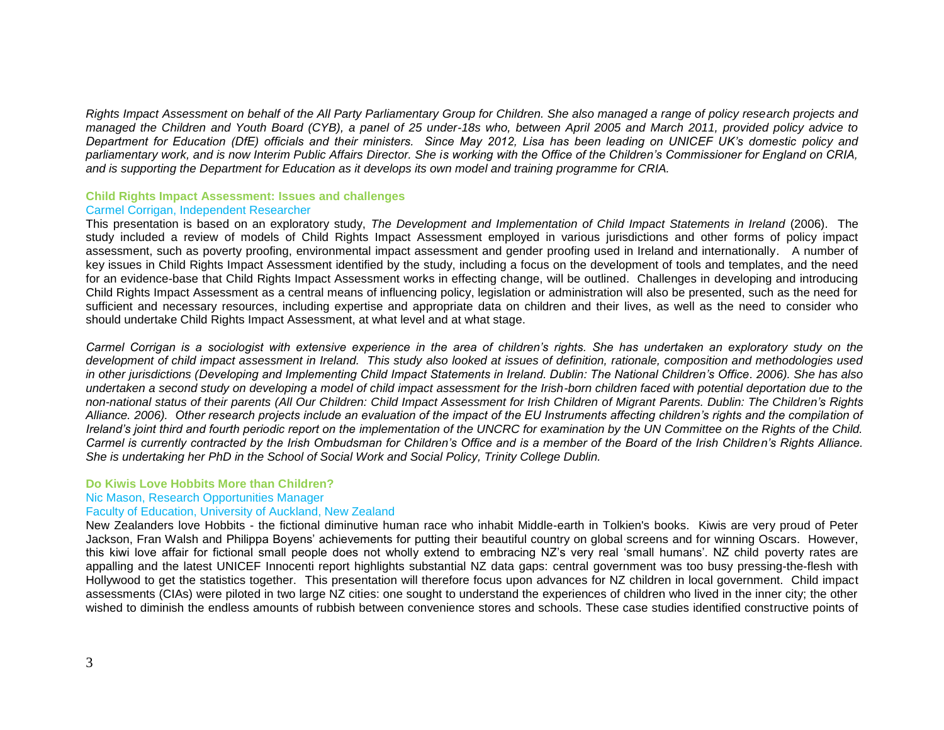*Rights Impact Assessment on behalf of the All Party Parliamentary Group for Children. She also managed a range of policy research projects and managed the Children and Youth Board (CYB), a panel of 25 under-18s who, between April 2005 and March 2011, provided policy advice to Department for Education (DfE) officials and their ministers. Since May 2012, Lisa has been leading on UNICEF UK"s domestic policy and parliamentary work, and is now Interim Public Affairs Director. She is working with the Office of the Children"s Commissioner for England on CRIA, and is supporting the Department for Education as it develops its own model and training programme for CRIA.*

#### **Child Rights Impact Assessment: Issues and challenges** Carmel Corrigan, Independent Researcher

This presentation is based on an exploratory study, *The Development and Implementation of Child Impact Statements in Ireland* (2006). The study included a review of models of Child Rights Impact Assessment employed in various jurisdictions and other forms of policy impact assessment, such as poverty proofing, environmental impact assessment and gender proofing used in Ireland and internationally. A number of key issues in Child Rights Impact Assessment identified by the study, including a focus on the development of tools and templates, and the need for an evidence-base that Child Rights Impact Assessment works in effecting change, will be outlined. Challenges in developing and introducing Child Rights Impact Assessment as a central means of influencing policy, legislation or administration will also be presented, such as the need for sufficient and necessary resources, including expertise and appropriate data on children and their lives, as well as the need to consider who should undertake Child Rights Impact Assessment, at what level and at what stage.

*Carmel Corrigan is a sociologist with extensive experience in the area of children"s rights. She has undertaken an exploratory study on the development of child impact assessment in Ireland. This study also looked at issues of definition, rationale, composition and methodologies used in other jurisdictions (Developing and Implementing Child Impact Statements in Ireland. Dublin: The National Children"s Office. 2006). She has also undertaken a second study on developing a model of child impact assessment for the Irish-born children faced with potential deportation due to the non-national status of their parents (All Our Children: Child Impact Assessment for Irish Children of Migrant Parents. Dublin: The Children"s Rights Alliance. 2006). Other research projects include an evaluation of the impact of the EU Instruments affecting children"s rights and the compilation of Ireland"s joint third and fourth periodic report on the implementation of the UNCRC for examination by the UN Committee on the Rights of the Child. Carmel is currently contracted by the Irish Ombudsman for Children"s Office and is a member of the Board of the Irish Children"s Rights Alliance. She is undertaking her PhD in the School of Social Work and Social Policy, Trinity College Dublin.* 

### **Do Kiwis Love Hobbits More than Children?**

### Nic Mason, Research Opportunities Manager

### Faculty of Education, University of Auckland, New Zealand

New Zealanders love Hobbits - the fictional diminutive human race who inhabit Middle-earth in Tolkien's books. Kiwis are very proud of Peter Jackson, Fran Walsh and Philippa Boyens" achievements for putting their beautiful country on global screens and for winning Oscars. However, this kiwi love affair for fictional small people does not wholly extend to embracing NZ"s very real "small humans". NZ child poverty rates are appalling and the latest UNICEF Innocenti report highlights substantial NZ data gaps: central government was too busy pressing-the-flesh with Hollywood to get the statistics together. This presentation will therefore focus upon advances for NZ children in local government. Child impact assessments (CIAs) were piloted in two large NZ cities: one sought to understand the experiences of children who lived in the inner city; the other wished to diminish the endless amounts of rubbish between convenience stores and schools. These case studies identified constructive points of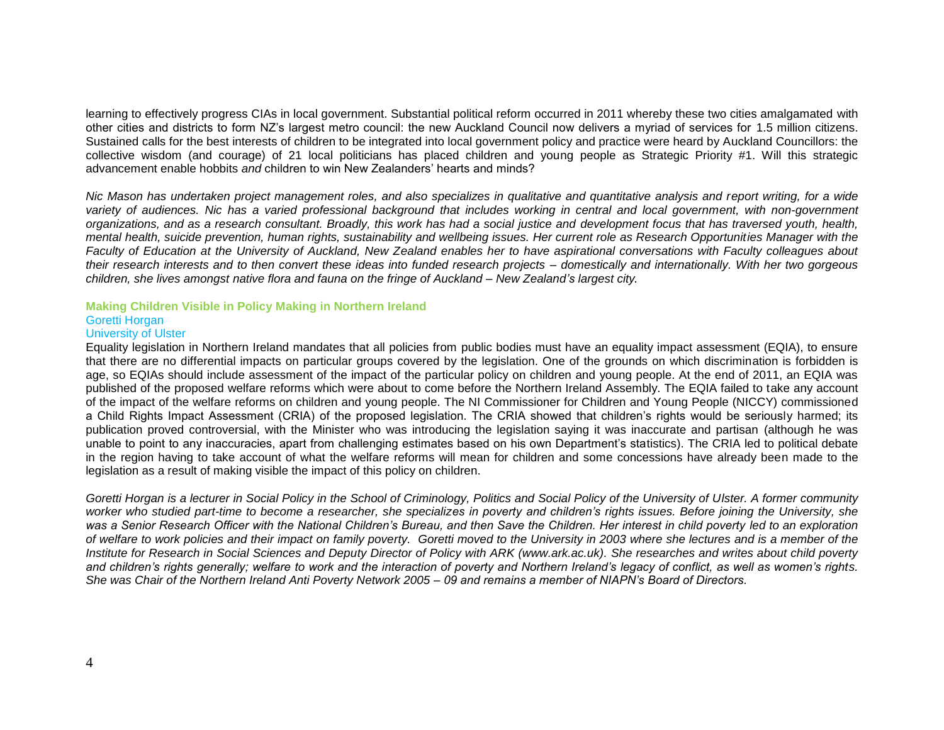learning to effectively progress CIAs in local government. Substantial political reform occurred in 2011 whereby these two cities amalgamated with other cities and districts to form NZ"s largest metro council: the new Auckland Council now delivers a myriad of services for 1.5 million citizens. Sustained calls for the best interests of children to be integrated into local government policy and practice were heard by Auckland Councillors: the collective wisdom (and courage) of 21 local politicians has placed children and young people as Strategic Priority #1. Will this strategic advancement enable hobbits *and* children to win New Zealanders" hearts and minds?

*Nic Mason has undertaken project management roles, and also specializes in qualitative and quantitative analysis and report writing, for a wide variety of audiences. Nic has a varied professional background that includes working in central and local government, with non-government organizations, and as a research consultant. Broadly, this work has had a social justice and development focus that has traversed youth, health, mental health, suicide prevention, human rights, sustainability and wellbeing issues. Her current role as Research Opportunities Manager with the Faculty of Education at the University of Auckland, New Zealand enables her to have aspirational conversations with Faculty colleagues about their research interests and to then convert these ideas into funded research projects – domestically and internationally. With her two gorgeous children, she lives amongst native flora and fauna on the fringe of Auckland – New Zealand"s largest city*.

## **Making Children Visible in Policy Making in Northern Ireland** Goretti Horgan

#### University of Ulster

Equality legislation in Northern Ireland mandates that all policies from public bodies must have an equality impact assessment (EQIA), to ensure that there are no differential impacts on particular groups covered by the legislation. One of the grounds on which discrimination is forbidden is age, so EQIAs should include assessment of the impact of the particular policy on children and young people. At the end of 2011, an EQIA was published of the proposed welfare reforms which were about to come before the Northern Ireland Assembly. The EQIA failed to take any account of the impact of the welfare reforms on children and young people. The NI Commissioner for Children and Young People (NICCY) commissioned a Child Rights Impact Assessment (CRIA) of the proposed legislation. The CRIA showed that children"s rights would be seriously harmed; its publication proved controversial, with the Minister who was introducing the legislation saying it was inaccurate and partisan (although he was unable to point to any inaccuracies, apart from challenging estimates based on his own Department"s statistics). The CRIA led to political debate in the region having to take account of what the welfare reforms will mean for children and some concessions have already been made to the legislation as a result of making visible the impact of this policy on children.

*Goretti Horgan is a lecturer in Social Policy in the School of Criminology, Politics and Social Policy of the University of Ulster. A former community worker who studied part-time to become a researcher, she specializes in poverty and children"s rights issues. Before joining the University, she was a Senior Research Officer with the National Children"s Bureau, and then Save the Children. Her interest in child poverty led to an exploration of welfare to work policies and their impact on family poverty. Goretti moved to the University in 2003 where she lectures and is a member of the Institute for Research in Social Sciences and Deputy Director of Policy with ARK (www.ark.ac.uk). She researches and writes about child poverty and children"s rights generally; welfare to work and the interaction of poverty and Northern Ireland"s legacy of conflict, as well as women"s rights. She was Chair of the Northern Ireland Anti Poverty Network 2005 – 09 and remains a member of NIAPN"s Board of Directors.*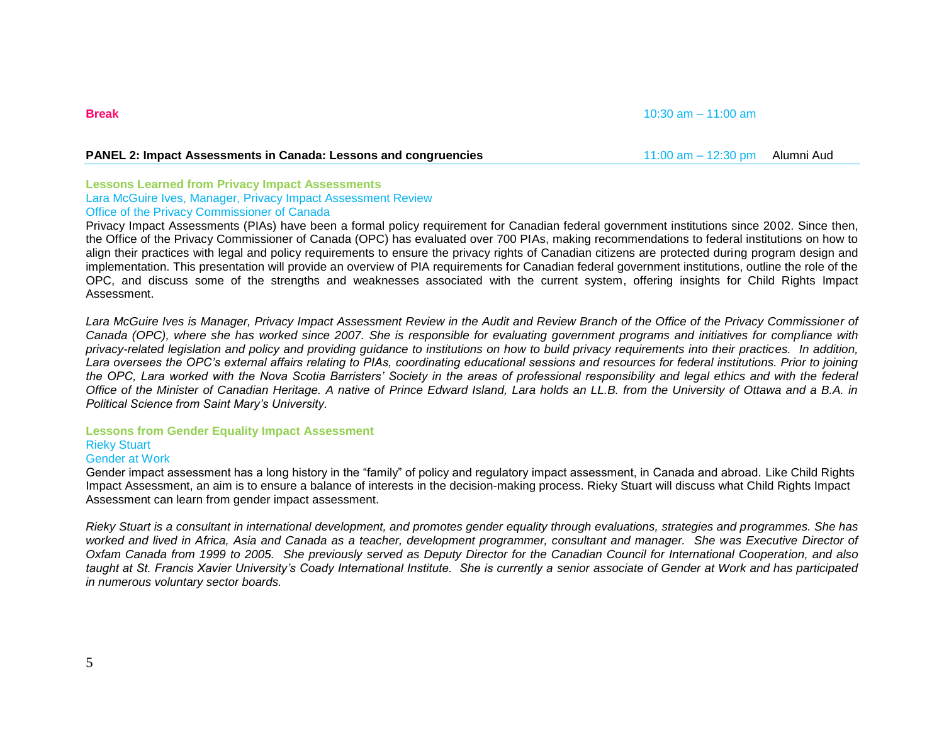## **PANEL 2: Impact Assessments in Canada: Lessons and congruencies** 11:00 am – 12:30 pm Alumni Aud

#### **Lessons Learned from Privacy Impact Assessments** Lara McGuire Ives, Manager, Privacy Impact Assessment Review Office of the Privacy Commissioner of Canada

Privacy Impact Assessments (PIAs) have been a formal policy requirement for Canadian federal government institutions since 2002. Since then, the Office of the Privacy Commissioner of Canada (OPC) has evaluated over 700 PIAs, making recommendations to federal institutions on how to align their practices with legal and policy requirements to ensure the privacy rights of Canadian citizens are protected during program design and implementation. This presentation will provide an overview of PIA requirements for Canadian federal government institutions, outline the role of the OPC, and discuss some of the strengths and weaknesses associated with the current system, offering insights for Child Rights Impact Assessment.

Lara McGuire Ives is Manager, Privacy Impact Assessment Review in the Audit and Review Branch of the Office of the Privacy Commissioner of *Canada (OPC), where she has worked since 2007. She is responsible for evaluating government programs and initiatives for compliance with privacy-related legislation and policy and providing guidance to institutions on how to build privacy requirements into their practices. In addition, Lara oversees the OPC"s external affairs relating to PIAs, coordinating educational sessions and resources for federal institutions. Prior to joining the OPC, Lara worked with the Nova Scotia Barristers" Society in the areas of professional responsibility and legal ethics and with the federal Office of the Minister of Canadian Heritage. A native of Prince Edward Island, Lara holds an LL.B. from the University of Ottawa and a B.A. in Political Science from Saint Mary"s University.* 

#### **Lessons from Gender Equality Impact Assessment** Rieky Stuart

# Gender at Work

Gender impact assessment has a long history in the "family" of policy and regulatory impact assessment, in Canada and abroad. Like Child Rights Impact Assessment, an aim is to ensure a balance of interests in the decision-making process. Rieky Stuart will discuss what Child Rights Impact Assessment can learn from gender impact assessment.

*Rieky Stuart is a consultant in international development, and promotes gender equality through evaluations, strategies and programmes. She has worked and lived in Africa, Asia and Canada as a teacher, development programmer, consultant and manager. She was Executive Director of Oxfam Canada from 1999 to 2005. She previously served as Deputy Director for the Canadian Council for International Cooperation, and also*  taught at St. Francis Xavier University's Coady International Institute. She is currently a senior associate of Gender at Work and has participated *in numerous voluntary sector boards.* 

#### **Break** 10:30 am – 11:00 am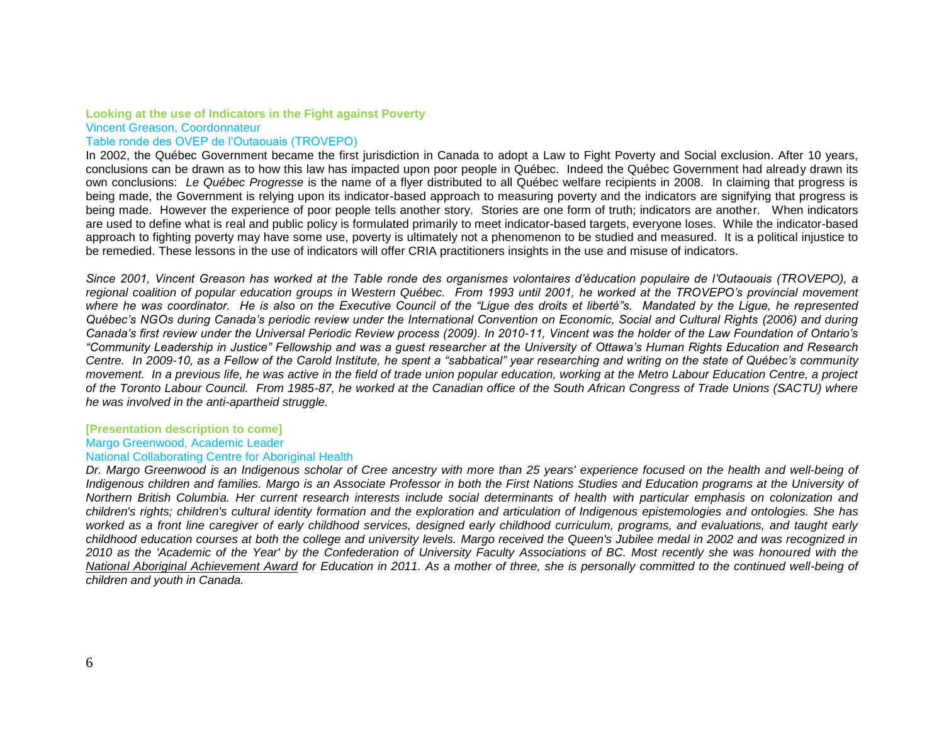## **Looking at the use of Indicators in the Fight against Poverty**

Vincent Greason, Coordonnateur

#### Table ronde des OVEP de l"Outaouais (TROVEPO)

In 2002, the Québec Government became the first jurisdiction in Canada to adopt a Law to Fight Poverty and Social exclusion. After 10 years, conclusions can be drawn as to how this law has impacted upon poor people in Québec. Indeed the Québec Government had already drawn its own conclusions: *Le Québec Progresse* is the name of a flyer distributed to all Québec welfare recipients in 2008. In claiming that progress is being made, the Government is relying upon its indicator-based approach to measuring poverty and the indicators are signifying that progress is being made. However the experience of poor people tells another story. Stories are one form of truth; indicators are another. When indicators are used to define what is real and public policy is formulated primarily to meet indicator-based targets, everyone loses. While the indicator-based approach to fighting poverty may have some use, poverty is ultimately not a phenomenon to be studied and measured. It is a political injustice to be remedied. These lessons in the use of indicators will offer CRIA practitioners insights in the use and misuse of indicators.

*Since 2001, Vincent Greason has worked at the Table ronde des organismes volontaires d"éducation populaire de l"Outaouais (TROVEPO), a regional coalition of popular education groups in Western Québec. From 1993 until 2001, he worked at the TROVEPO"s provincial movement where he was coordinator. He is also on the Executive Council of the "Ligue des droits et liberté"s. Mandated by the Ligue, he represented Québec"s NGOs during Canada"s periodic review under the International Convention on Economic, Social and Cultural Rights (2006) and during Canada"s first review under the Universal Periodic Review process (2009). In 2010-11, Vincent was the holder of the Law Foundation of Ontario"s "Community Leadership in Justice" Fellowship and was a guest researcher at the University of Ottawa"s Human Rights Education and Research Centre. In 2009-10, as a Fellow of the Carold Institute, he spent a "sabbatical" year researching and writing on the state of Québec"s community movement. In a previous life, he was active in the field of trade union popular education, working at the Metro Labour Education Centre, a project of the Toronto Labour Council. From 1985-87, he worked at the Canadian office of the South African Congress of Trade Unions (SACTU) where he was involved in the anti-apartheid struggle.*

#### **[Presentation description to come]** Margo Greenwood, Academic Leader National Collaborating Centre for Aboriginal Health

*Dr. Margo Greenwood is an Indigenous scholar of Cree ancestry with more than 25 years' experience focused on the health and well-being of Indigenous children and families. Margo is an Associate Professor in both the First Nations Studies and Education programs at the University of Northern British Columbia. Her current research interests include social determinants of health with particular emphasis on colonization and children's rights; children's cultural identity formation and the exploration and articulation of Indigenous epistemologies and ontologies. She has worked as a front line caregiver of early childhood services, designed early childhood curriculum, programs, and evaluations, and taught early childhood education courses at both the college and university levels. Margo received the Queen's Jubilee medal in 2002 and was recognized in 2010 as the 'Academic of the Year' by the Confederation of University Faculty Associations of BC. Most recently she was honoured with the [National Aboriginal Achievement Award](http://www.nccah-ccnsa.ca/341/Dr__Margo_Greenwood_honoured_with_National_Aboriginal_Achievement_Award.nccah) for Education in 2011. As a mother of three, she is personally committed to the continued well-being of children and youth in Canada.*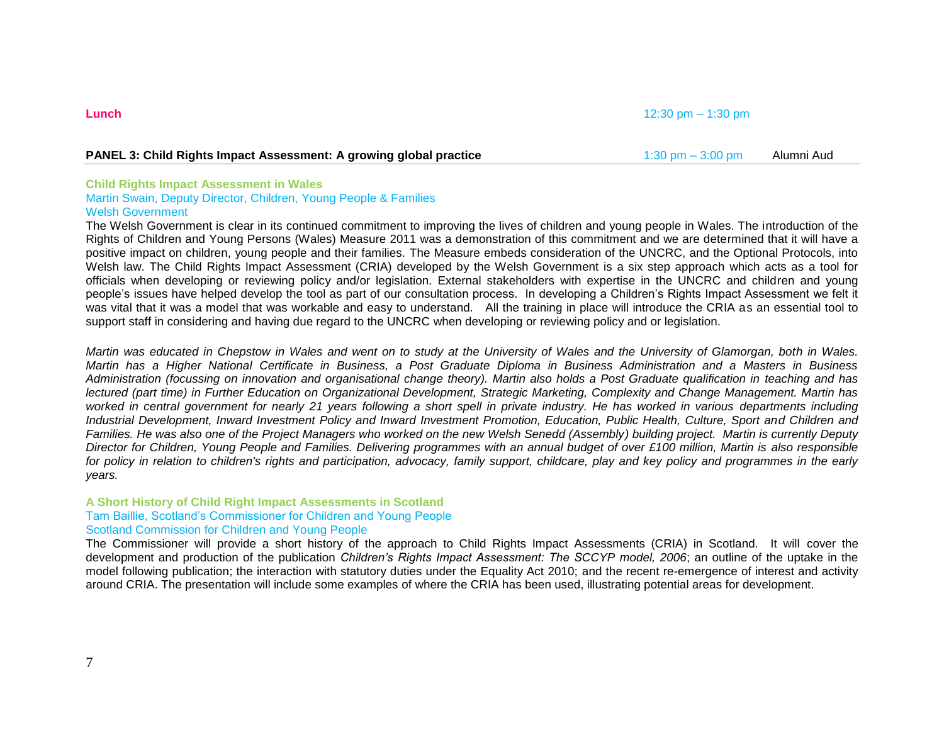## **PANEL 3: Child Rights Impact Assessment: A growing global practice 1:30 pm – 3:00 pm – 3:00 pm – Alumni Aud Panel Aud Panel Aud Panel Aud Panel Aud Panel Aud Panel Aud Panel Aud Panel Aud Panel Aud Panel Aud Panel Aud Pan**

#### **Child Rights Impact Assessment in Wales** Martin Swain, Deputy Director, Children, Young People & Families Welsh Government

The Welsh Government is clear in its continued commitment to improving the lives of children and young people in Wales. The introduction of the Rights of Children and Young Persons (Wales) Measure 2011 was a demonstration of this commitment and we are determined that it will have a positive impact on children, young people and their families. The Measure embeds consideration of the UNCRC, and the Optional Protocols, into Welsh law. The Child Rights Impact Assessment (CRIA) developed by the Welsh Government is a six step approach which acts as a tool for officials when developing or reviewing policy and/or legislation. External stakeholders with expertise in the UNCRC and children and young people"s issues have helped develop the tool as part of our consultation process. In developing a Children"s Rights Impact Assessment we felt it was vital that it was a model that was workable and easy to understand. All the training in place will introduce the CRIA as an essential tool to support staff in considering and having due regard to the UNCRC when developing or reviewing policy and or legislation.

*Martin was educated in Chepstow in Wales and went on to study at the University of Wales and the University of Glamorgan, both in Wales. Martin has a Higher National Certificate in Business, a Post Graduate Diploma in Business Administration and a Masters in Business Administration (focussing on innovation and organisational change theory). Martin also holds a Post Graduate qualification in teaching and has lectured (part time) in Further Education on Organizational Development, Strategic Marketing, Complexity and Change Management. Martin has worked in central government for nearly 21 years following a short spell in private industry. He has worked in various departments including Industrial Development, Inward Investment Policy and Inward Investment Promotion, Education, Public Health, Culture, Sport and Children and Families. He was also one of the Project Managers who worked on the new Welsh Senedd (Assembly) building project. Martin is currently Deputy Director for Children, Young People and Families. Delivering programmes with an annual budget of over £100 million, Martin is also responsible for policy in relation to children's rights and participation, advocacy, family support, childcare, play and key policy and programmes in the early years.*

### **A Short History of Child Right Impact Assessments in Scotland** Tam Baillie, Scotland"s Commissioner for Children and Young People Scotland Commission for Children and Young People

The Commissioner will provide a short history of the approach to Child Rights Impact Assessments (CRIA) in Scotland. It will cover the development and production of the publication *Children"s Rights Impact Assessment: The SCCYP model, 2006*; an outline of the uptake in the model following publication; the interaction with statutory duties under the Equality Act 2010; and the recent re-emergence of interest and activity around CRIA. The presentation will include some examples of where the CRIA has been used, illustrating potential areas for development.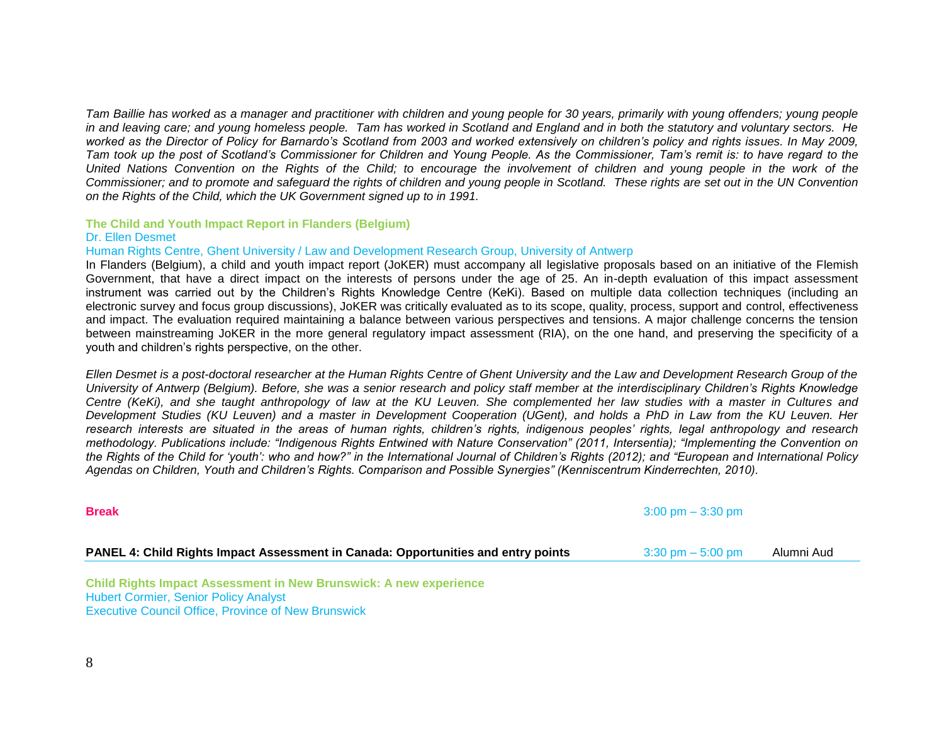*Tam Baillie has worked as a manager and practitioner with children and young people for 30 years, primarily with young offenders; young people in and leaving care; and young homeless people. Tam has worked in Scotland and England and in both the statutory and voluntary sectors. He worked as the Director of Policy for Barnardo"s Scotland from 2003 and worked extensively on children"s policy and rights issues. In May 2009, Tam took up the post of Scotland"s Commissioner for Children and Young People. As the Commissioner, Tam"s remit is: to have regard to the United Nations Convention on the Rights of the Child; to encourage the involvement of children and young people in the work of the Commissioner; and to promote and safeguard the rights of children and young people in Scotland. These rights are set out in the UN Convention on the Rights of the Child, which the UK Government signed up to in 1991.*

#### **The Child and Youth Impact Report in Flanders (Belgium)** Dr. Ellen Desmet

#### Human Rights Centre, Ghent University / Law and Development Research Group, University of Antwerp

In Flanders (Belgium), a child and youth impact report (JoKER) must accompany all legislative proposals based on an initiative of the Flemish Government, that have a direct impact on the interests of persons under the age of 25. An in-depth evaluation of this impact assessment instrument was carried out by the Children"s Rights Knowledge Centre (KeKi). Based on multiple data collection techniques (including an electronic survey and focus group discussions), JoKER was critically evaluated as to its scope, quality, process, support and control, effectiveness and impact. The evaluation required maintaining a balance between various perspectives and tensions. A major challenge concerns the tension between mainstreaming JoKER in the more general regulatory impact assessment (RIA), on the one hand, and preserving the specificity of a youth and children"s rights perspective, on the other.

*Ellen Desmet is a post-doctoral researcher at the Human Rights Centre of Ghent University and the Law and Development Research Group of the University of Antwerp (Belgium). Before, she was a senior research and policy staff member at the interdisciplinary Children"s Rights Knowledge Centre (KeKi), and she taught anthropology of law at the KU Leuven. She complemented her law studies with a master in Cultures and Development Studies (KU Leuven) and a master in Development Cooperation (UGent), and holds a PhD in Law from the KU Leuven. Her research interests are situated in the areas of human rights, children"s rights, indigenous peoples" rights, legal anthropology and research methodology. Publications include: "Indigenous Rights Entwined with Nature Conservation" (2011, Intersentia); "Implementing the Convention on the Rights of the Child for "youth": who and how?" in the International Journal of Children"s Rights (2012); and "European and International Policy Agendas on Children, Youth and Children"s Rights. Comparison and Possible Synergies" (Kenniscentrum Kinderrechten, 2010).*

| <b>Break</b>                                                                      | $3:00 \text{ pm} - 3:30 \text{ pm}$ |            |
|-----------------------------------------------------------------------------------|-------------------------------------|------------|
| PANEL 4: Child Rights Impact Assessment in Canada: Opportunities and entry points | $3:30 \text{ pm} - 5:00 \text{ pm}$ | Alumni Aud |

**Child Rights Impact Assessment in New Brunswick: A new experience** Hubert Cormier, Senior Policy Analyst Executive Council Office, Province of New Brunswick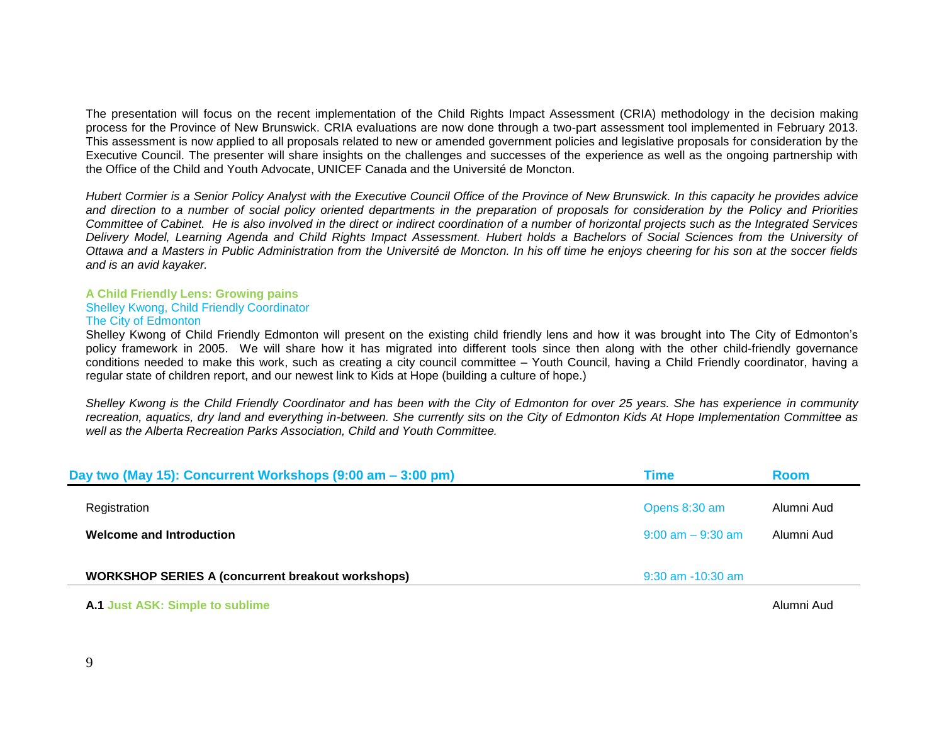The presentation will focus on the recent implementation of the Child Rights Impact Assessment (CRIA) methodology in the decision making process for the Province of New Brunswick. CRIA evaluations are now done through a two-part assessment tool implemented in February 2013. This assessment is now applied to all proposals related to new or amended government policies and legislative proposals for consideration by the Executive Council. The presenter will share insights on the challenges and successes of the experience as well as the ongoing partnership with the Office of the Child and Youth Advocate, UNICEF Canada and the Université de Moncton.

*Hubert Cormier is a Senior Policy Analyst with the Executive Council Office of the Province of New Brunswick. In this capacity he provides advice and direction to a number of social policy oriented departments in the preparation of proposals for consideration by the Policy and Priorities Committee of Cabinet. He is also involved in the direct or indirect coordination of a number of horizontal projects such as the Integrated Services Delivery Model, Learning Agenda and Child Rights Impact Assessment. Hubert holds a Bachelors of Social Sciences from the University of Ottawa and a Masters in Public Administration from the Université de Moncton. In his off time he enjoys cheering for his son at the soccer fields and is an avid kayaker.* 

#### **A Child Friendly Lens: Growing pains** Shelley Kwong, Child Friendly Coordinator The City of Edmonton

Shelley Kwong of Child Friendly Edmonton will present on the existing child friendly lens and how it was brought into The City of Edmonton"s policy framework in 2005. We will share how it has migrated into different tools since then along with the other child-friendly governance conditions needed to make this work, such as creating a city council committee – Youth Council, having a Child Friendly coordinator, having a regular state of children report, and our newest link to Kids at Hope (building a culture of hope.)

*Shelley Kwong is the Child Friendly Coordinator and has been with the City of Edmonton for over 25 years. She has experience in community recreation, aquatics, dry land and everything in-between. She currently sits on the City of Edmonton Kids At Hope Implementation Committee as well as the Alberta Recreation Parks Association, Child and Youth Committee.* 

| Day two (May 15): Concurrent Workshops (9:00 am – 3:00 pm) | Time                  | <b>Room</b> |
|------------------------------------------------------------|-----------------------|-------------|
| Registration                                               | Opens 8:30 am         | Alumni Aud  |
| <b>Welcome and Introduction</b>                            | $9:00$ am $-9:30$ am  | Alumni Aud  |
| <b>WORKSHOP SERIES A (concurrent breakout workshops)</b>   | $9:30$ am $-10:30$ am |             |
|                                                            |                       |             |

#### **A.1 Just ASK: Simple to sublime** Alumni Audio Alumni Audio Alumni Audio Alumni Audio Alumni Audio Alumni Audio A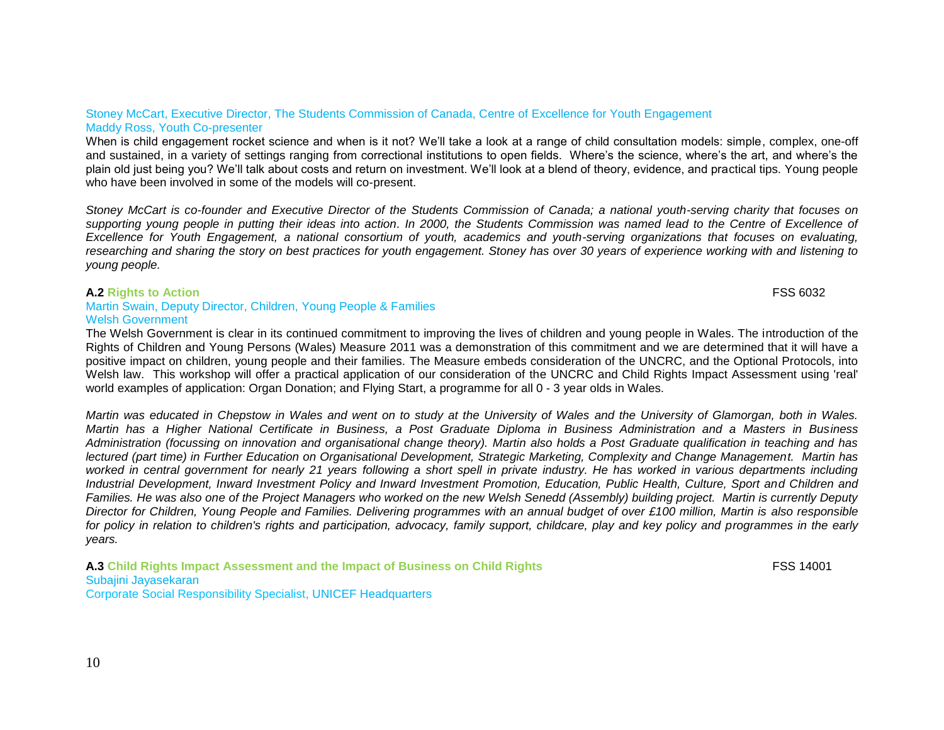#### Stoney McCart, Executive Director, The Students Commission of Canada, Centre of Excellence for Youth Engagement Maddy Ross, Youth Co-presenter

When is child engagement rocket science and when is it not? We"ll take a look at a range of child consultation models: simple, complex, one-off and sustained, in a variety of settings ranging from correctional institutions to open fields. Where"s the science, where"s the art, and where"s the plain old just being you? We"ll talk about costs and return on investment. We"ll look at a blend of theory, evidence, and practical tips. Young people who have been involved in some of the models will co-present.

*Stoney McCart is co-founder and Executive Director of the Students Commission of Canada; a national youth-serving charity that focuses on*  supporting young people in putting their ideas into action. In 2000, the Students Commission was named lead to the Centre of Excellence of *Excellence for Youth Engagement, a national consortium of youth, academics and youth-serving organizations that focuses on evaluating, researching and sharing the story on best practices for youth engagement. Stoney has over 30 years of experience working with and listening to young people.*

#### **A.2 Rights to Action** FSS 6032

### Martin Swain, Deputy Director, Children, Young People & Families Welsh Government

The Welsh Government is clear in its continued commitment to improving the lives of children and young people in Wales. The introduction of the Rights of Children and Young Persons (Wales) Measure 2011 was a demonstration of this commitment and we are determined that it will have a positive impact on children, young people and their families. The Measure embeds consideration of the UNCRC, and the Optional Protocols, into Welsh law. This workshop will offer a practical application of our consideration of the UNCRC and Child Rights Impact Assessment using 'real' world examples of application: Organ Donation; and Flying Start, a programme for all 0 - 3 year olds in Wales.

*Martin was educated in Chepstow in Wales and went on to study at the University of Wales and the University of Glamorgan, both in Wales. Martin has a Higher National Certificate in Business, a Post Graduate Diploma in Business Administration and a Masters in Business Administration (focussing on innovation and organisational change theory). Martin also holds a Post Graduate qualification in teaching and has lectured (part time) in Further Education on Organisational Development, Strategic Marketing, Complexity and Change Management. Martin has worked in central government for nearly 21 years following a short spell in private industry. He has worked in various departments including Industrial Development, Inward Investment Policy and Inward Investment Promotion, Education, Public Health, Culture, Sport and Children and Families. He was also one of the Project Managers who worked on the new Welsh Senedd (Assembly) building project. Martin is currently Deputy Director for Children, Young People and Families. Delivering programmes with an annual budget of over £100 million, Martin is also responsible*  for policy in relation to children's rights and participation, advocacy, family support, childcare, play and key policy and programmes in the early *years.*

**A.3 Child Rights Impact Assessment and the Impact of Business on Child Rights** FSS 14001 Subajini Jayasekaran Corporate Social Responsibility Specialist, UNICEF Headquarters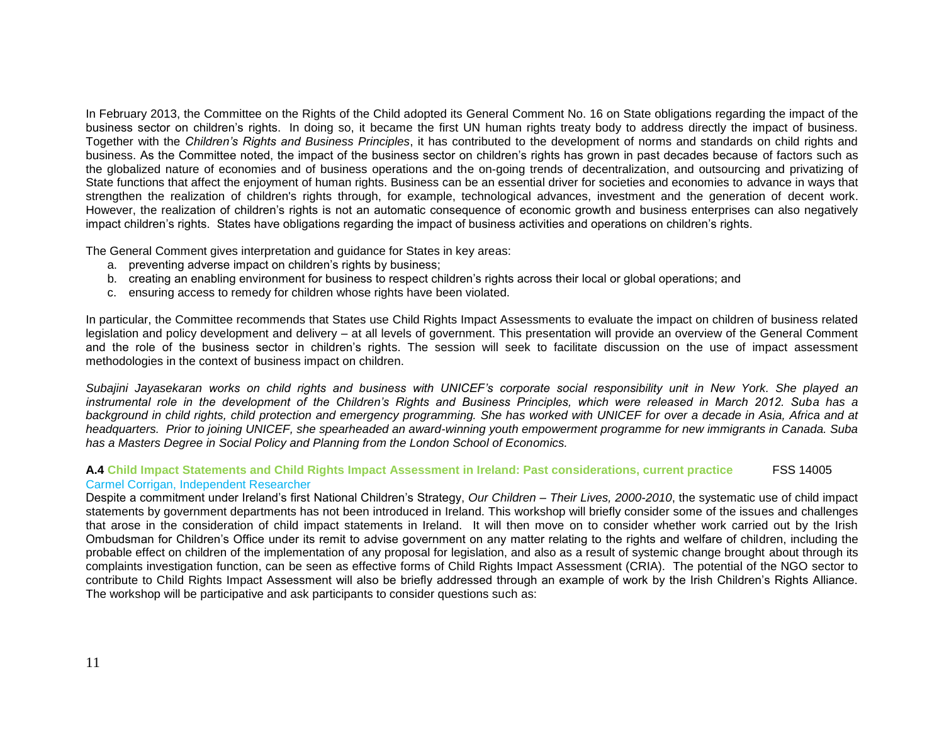In February 2013, the Committee on the Rights of the Child adopted its [General Comment No. 16 o](http://www2.ohchr.org/english/bodies/crc/docs/GC/CRC-C-GC-16_en.doc)n State obligations regarding the impact of the business sector on children"s rights. In doing so, it became the first UN human rights treaty body to address directly the impact of business. Together with the *Children"s Rights and Business Principles*, it has contributed to the development of norms and standards on child rights and business. As the Committee noted, the impact of the business sector on children"s rights has grown in past decades because of factors such as the globalized nature of economies and of business operations and the on-going trends of decentralization, and outsourcing and privatizing of State functions that affect the enjoyment of human rights. Business can be an essential driver for societies and economies to advance in ways that strengthen the realization of children's rights through, for example, technological advances, investment and the generation of decent work. However, the realization of children"s rights is not an automatic consequence of economic growth and business enterprises can also negatively impact children"s rights. States have obligations regarding the impact of business activities and operations on children"s rights.

The General Comment gives interpretation and guidance for States in key areas:

- a. preventing adverse impact on children"s rights by business;
- b. creating an enabling environment for business to respect children"s rights across their local or global operations; and
- c. ensuring access to remedy for children whose rights have been violated.

In particular, the Committee recommends that States use Child Rights Impact Assessments to evaluate the impact on children of business related legislation and policy development and delivery – at all levels of government. This presentation will provide an overview of the General Comment and the role of the business sector in children"s rights. The session will seek to facilitate discussion on the use of impact assessment methodologies in the context of business impact on children.

*Subajini Jayasekaran works on child rights and business with UNICEF"s corporate social responsibility unit in New York. She played an instrumental role in the development of the Children"s Rights and Business Principles, which were released in March 2012. Suba has a background in child rights, child protection and emergency programming. She has worked with UNICEF for over a decade in Asia, Africa and at headquarters. Prior to joining UNICEF, she spearheaded an award-winning youth empowerment programme for new immigrants in Canada. Suba has a Masters Degree in Social Policy and Planning from the London School of Economics.*

#### **A.4 Child Impact Statements and Child Rights Impact Assessment in Ireland: Past considerations, current practice** FSS 14005 Carmel Corrigan, Independent Researcher

Despite a commitment under Ireland"s first National Children"s Strategy, *Our Children – Their Lives, 2000-2010*, the systematic use of child impact statements by government departments has not been introduced in Ireland. This workshop will briefly consider some of the issues and challenges that arose in the consideration of child impact statements in Ireland. It will then move on to consider whether work carried out by the Irish Ombudsman for Children"s Office under its remit to advise government on any matter relating to the rights and welfare of children, including the probable effect on children of the implementation of any proposal for legislation, and also as a result of systemic change brought about through its complaints investigation function, can be seen as effective forms of Child Rights Impact Assessment (CRIA). The potential of the NGO sector to contribute to Child Rights Impact Assessment will also be briefly addressed through an example of work by the Irish Children"s Rights Alliance. The workshop will be participative and ask participants to consider questions such as: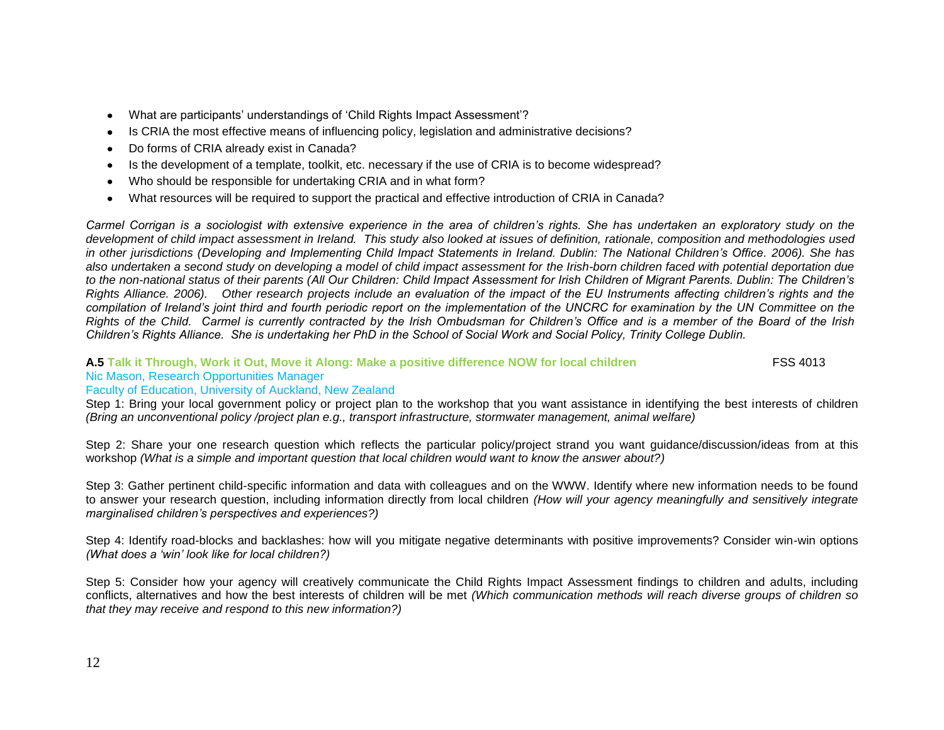- What are participants" understandings of "Child Rights Impact Assessment"?  $\bullet$
- Is CRIA the most effective means of influencing policy, legislation and administrative decisions?  $\bullet$
- Do forms of CRIA already exist in Canada?  $\bullet$
- Is the development of a template, toolkit, etc. necessary if the use of CRIA is to become widespread?  $\bullet$
- Who should be responsible for undertaking CRIA and in what form?  $\bullet$
- What resources will be required to support the practical and effective introduction of CRIA in Canada?  $\bullet$

*Carmel Corrigan is a sociologist with extensive experience in the area of children"s rights. She has undertaken an exploratory study on the development of child impact assessment in Ireland. This study also looked at issues of definition, rationale, composition and methodologies used in other jurisdictions (Developing and Implementing Child Impact Statements in Ireland. Dublin: The National Children"s Office. 2006). She has also undertaken a second study on developing a model of child impact assessment for the Irish-born children faced with potential deportation due to the non-national status of their parents (All Our Children: Child Impact Assessment for Irish Children of Migrant Parents. Dublin: The Children"s Rights Alliance. 2006). Other research projects include an evaluation of the impact of the EU Instruments affecting children"s rights and the compilation of Ireland"s joint third and fourth periodic report on the implementation of the UNCRC for examination by the UN Committee on the Rights of the Child. Carmel is currently contracted by the Irish Ombudsman for Children"s Office and is a member of the Board of the Irish Children"s Rights Alliance. She is undertaking her PhD in the School of Social Work and Social Policy, Trinity College Dublin.* 

#### **A.5 Talk it Through, Work it Out, Move it Along: Make a positive difference NOW for local children** FSS 4013 Nic Mason, Research Opportunities Manager

## Faculty of Education, University of Auckland, New Zealand

Step 1: Bring your local government policy or project plan to the workshop that you want assistance in identifying the best interests of children *(Bring an unconventional policy /project plan e.g., transport infrastructure, stormwater management, animal welfare)*

Step 2: Share your one research question which reflects the particular policy/project strand you want guidance/discussion/ideas from at this workshop *(What is a simple and important question that local children would want to know the answer about?)*

Step 3: Gather pertinent child-specific information and data with colleagues and on the WWW. Identify where new information needs to be found to answer your research question, including information directly from local children *(How will your agency meaningfully and sensitively integrate marginalised children"s perspectives and experiences?)*

Step 4: Identify road-blocks and backlashes: how will you mitigate negative determinants with positive improvements? Consider win-win options *(What does a "win" look like for local children?)*

Step 5: Consider how your agency will creatively communicate the Child Rights Impact Assessment findings to children and adults, including conflicts, alternatives and how the best interests of children will be met *(Which communication methods will reach diverse groups of children so that they may receive and respond to this new information?)*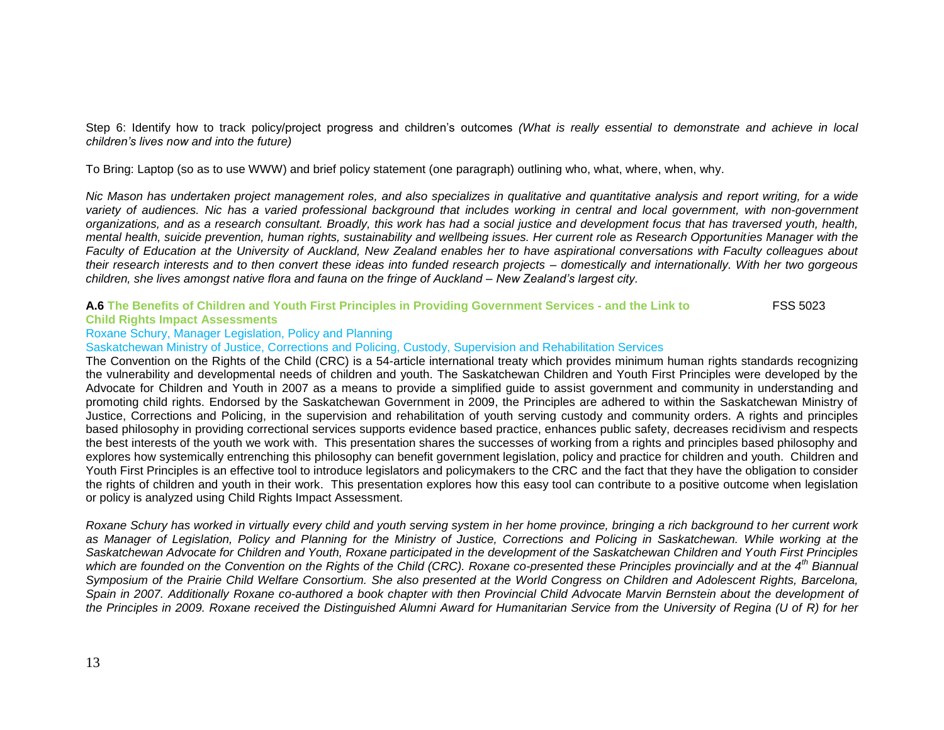Step 6: Identify how to track policy/project progress and children"s outcomes *(What is really essential to demonstrate and achieve in local children"s lives now and into the future)*

To Bring: Laptop (so as to use WWW) and brief policy statement (one paragraph) outlining who, what, where, when, why.

*Nic Mason has undertaken project management roles, and also specializes in qualitative and quantitative analysis and report writing, for a wide variety of audiences. Nic has a varied professional background that includes working in central and local government, with non-government organizations, and as a research consultant. Broadly, this work has had a social justice and development focus that has traversed youth, health, mental health, suicide prevention, human rights, sustainability and wellbeing issues. Her current role as Research Opportunities Manager with the Faculty of Education at the University of Auckland, New Zealand enables her to have aspirational conversations with Faculty colleagues about their research interests and to then convert these ideas into funded research projects – domestically and internationally. With her two gorgeous children, she lives amongst native flora and fauna on the fringe of Auckland – New Zealand"s largest city.* 

#### **A.6 The Benefits of Children and Youth First Principles in Providing Government Services - and the Link to** FSS 5023 **Child Rights Impact Assessments**

## Roxane Schury, Manager Legislation, Policy and Planning

Saskatchewan Ministry of Justice, Corrections and Policing, Custody, Supervision and Rehabilitation Services

The Convention on the Rights of the Child (CRC) is a 54-article international treaty which provides minimum human rights standards recognizing the vulnerability and developmental needs of children and youth. The Saskatchewan Children and Youth First Principles were developed by the Advocate for Children and Youth in 2007 as a means to provide a simplified guide to assist government and community in understanding and promoting child rights. Endorsed by the Saskatchewan Government in 2009, the Principles are adhered to within the Saskatchewan Ministry of Justice, Corrections and Policing, in the supervision and rehabilitation of youth serving custody and community orders. A rights and principles based philosophy in providing correctional services supports evidence based practice, enhances public safety, decreases recidivism and respects the best interests of the youth we work with. This presentation shares the successes of working from a rights and principles based philosophy and explores how systemically entrenching this philosophy can benefit government legislation, policy and practice for children and youth. Children and Youth First Principles is an effective tool to introduce legislators and policymakers to the CRC and the fact that they have the obligation to consider the rights of children and youth in their work. This presentation explores how this easy tool can contribute to a positive outcome when legislation or policy is analyzed using Child Rights Impact Assessment.

*Roxane Schury has worked in virtually every child and youth serving system in her home province, bringing a rich background to her current work as Manager of Legislation, Policy and Planning for the Ministry of Justice, Corrections and Policing in Saskatchewan. While working at the Saskatchewan Advocate for Children and Youth, Roxane participated in the development of the Saskatchewan Children and Youth First Principles which are founded on the Convention on the Rights of the Child (CRC). Roxane co-presented these Principles provincially and at the 4th Biannual Symposium of the Prairie Child Welfare Consortium. She also presented at the World Congress on Children and Adolescent Rights, Barcelona,*  Spain in 2007. Additionally Roxane co-authored a book chapter with then Provincial Child Advocate Marvin Bernstein about the development of *the Principles in 2009. Roxane received the Distinguished Alumni Award for Humanitarian Service from the University of Regina (U of R) for her*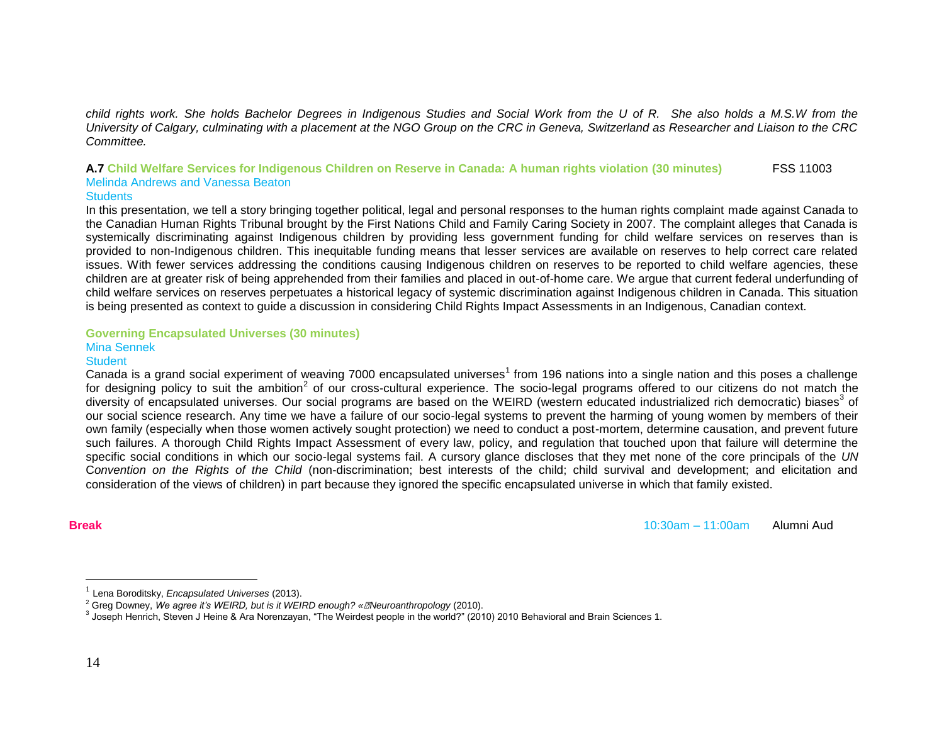*child rights work. She holds Bachelor Degrees in Indigenous Studies and Social Work from the U of R. She also holds a M.S.W from the University of Calgary, culminating with a placement at the NGO Group on the CRC in Geneva, Switzerland as Researcher and Liaison to the CRC Committee.*

## **A.7 Child Welfare Services for Indigenous Children on Reserve in Canada: A human rights violation (30 minutes)** FSS 11003 Melinda Andrews and Vanessa Beaton

### **Students**

In this presentation, we tell a story bringing together political, legal and personal responses to the human rights complaint made against Canada to the Canadian Human Rights Tribunal brought by the First Nations Child and Family Caring Society in 2007. The complaint alleges that Canada is systemically discriminating against Indigenous children by providing less government funding for child welfare services on reserves than is provided to non-Indigenous children. This inequitable funding means that lesser services are available on reserves to help correct care related issues. With fewer services addressing the conditions causing Indigenous children on reserves to be reported to child welfare agencies, these children are at greater risk of being apprehended from their families and placed in out-of-home care. We argue that current federal underfunding of child welfare services on reserves perpetuates a historical legacy of systemic discrimination against Indigenous children in Canada. This situation is being presented as context to guide a discussion in considering Child Rights Impact Assessments in an Indigenous, Canadian context.

#### **Governing Encapsulated Universes (30 minutes)** Mina Sennek

# **Student**

Canada is a grand social experiment of weaving 7000 encapsulated universes<sup>1</sup> from 196 nations into a single nation and this poses a challenge for designing policy to suit the ambition<sup>2</sup> of our cross-cultural experience. The socio-legal programs offered to our citizens do not match the diversity of encapsulated universes. Our social programs are based on the WEIRD (western educated industrialized rich democratic) biases<sup>3</sup> of our social science research. Any time we have a failure of our socio-legal systems to prevent the harming of young women by members of their own family (especially when those women actively sought protection) we need to conduct a post-mortem, determine causation, and prevent future such failures. A thorough Child Rights Impact Assessment of every law, policy, and regulation that touched upon that failure will determine the specific social conditions in which our socio-legal systems fail. A cursory glance discloses that they met none of the core principals of the *UN*  C*onvention on the Rights of the Child* (non-discrimination; best interests of the child; child survival and development; and elicitation and consideration of the views of children) in part because they ignored the specific encapsulated universe in which that family existed.

 $\overline{a}$ 

**Break** 10:30am – 11:00am Alumni Aud

<sup>1</sup> Lena Boroditsky, *Encapsulated Universes* (2013).

<sup>2</sup> Greg Downey, *We agree it"s WEIRD, but is it WEIRD enough? « Neuroanthropology* (2010).

<sup>3</sup> Joseph Henrich, Steven J Heine & Ara Norenzayan, "The Weirdest people in the world?" (2010) 2010 Behavioral and Brain Sciences 1.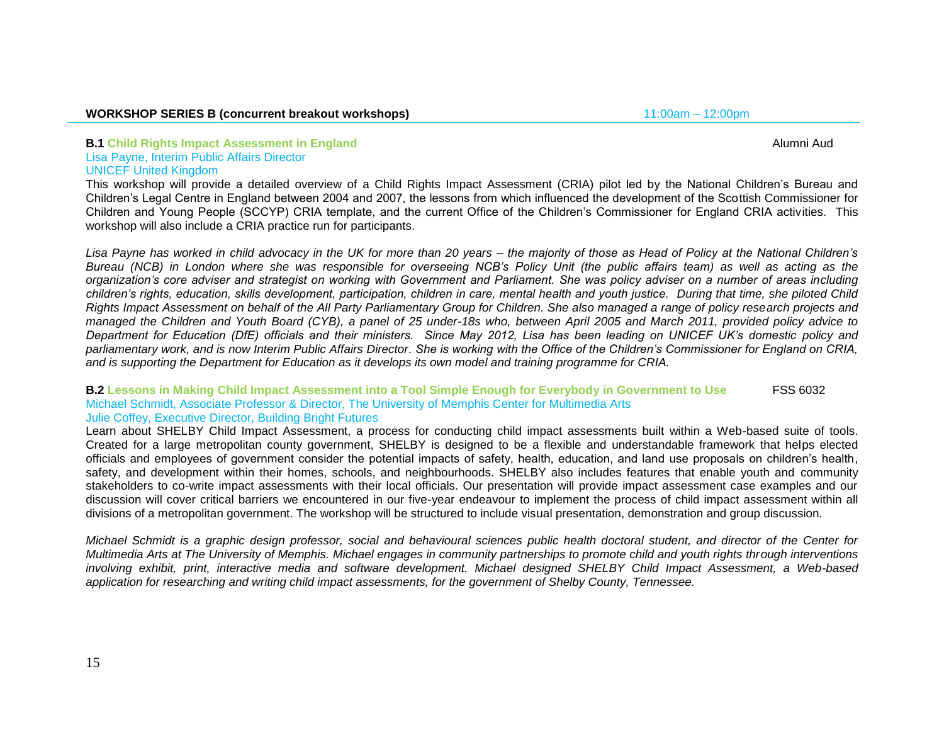#### **WORKSHOP SERIES B (concurrent breakout workshops)** 11:00am – 12:00pm

# **B.1** Child Rights Impact Assessment in England Alumni Audio Alumni Audio Alumni Audio Alumni Audio Alumni Audio A

## Lisa Payne, Interim Public Affairs Director UNICEF United Kingdom

This workshop will provide a detailed overview of a Child Rights Impact Assessment (CRIA) pilot led by the National Children"s Bureau and Children"s Legal Centre in England between 2004 and 2007, the lessons from which influenced the development of the Scottish Commissioner for Children and Young People (SCCYP) CRIA template, and the current Office of the Children"s Commissioner for England CRIA activities. This workshop will also include a CRIA practice run for participants.

*Lisa Payne has worked in child advocacy in the UK for more than 20 years – the majority of those as Head of Policy at the National Children"s Bureau (NCB) in London where she was responsible for overseeing NCB"s Policy Unit (the public affairs team) as well as acting as the organization"s core adviser and strategist on working with Government and Parliament. She was policy adviser on a number of areas including children"s rights, education, skills development, participation, children in care, mental health and youth justice. During that time, she piloted Child Rights Impact Assessment on behalf of the All Party Parliamentary Group for Children. She also managed a range of policy research projects and managed the Children and Youth Board (CYB), a panel of 25 under-18s who, between April 2005 and March 2011, provided policy advice to Department for Education (DfE) officials and their ministers. Since May 2012, Lisa has been leading on UNICEF UK"s domestic policy and parliamentary work, and is now Interim Public Affairs Director. She is working with the Office of the Children"s Commissioner for England on CRIA, and is supporting the Department for Education as it develops its own model and training programme for CRIA.*

#### **B.2 Lessons in Making Child Impact Assessment into a Tool Simple Enough for Everybody in Government to Use** FSS 6032 Michael Schmidt, Associate Professor & Director, The University of Memphis Center for Multimedia Arts Julie Coffey, Executive Director, Building Bright Futures

Learn about SHELBY Child Impact Assessment, a process for conducting child impact assessments built within a Web-based suite of tools. Created for a large metropolitan county government, SHELBY is designed to be a flexible and understandable framework that helps elected officials and employees of government consider the potential impacts of safety, health, education, and land use proposals on children"s health, safety, and development within their homes, schools, and neighbourhoods. SHELBY also includes features that enable youth and community stakeholders to co-write impact assessments with their local officials. Our presentation will provide impact assessment case examples and our discussion will cover critical barriers we encountered in our five-year endeavour to implement the process of child impact assessment within all divisions of a metropolitan government. The workshop will be structured to include visual presentation, demonstration and group discussion.

*Michael Schmidt is a graphic design professor, social and behavioural sciences public health doctoral student, and director of the Center for Multimedia Arts at The University of Memphis. Michael engages in community partnerships to promote child and youth rights through interventions involving exhibit, print, interactive media and software development. Michael designed SHELBY Child Impact Assessment, a Web-based application for researching and writing child impact assessments, for the government of Shelby County, Tennessee.*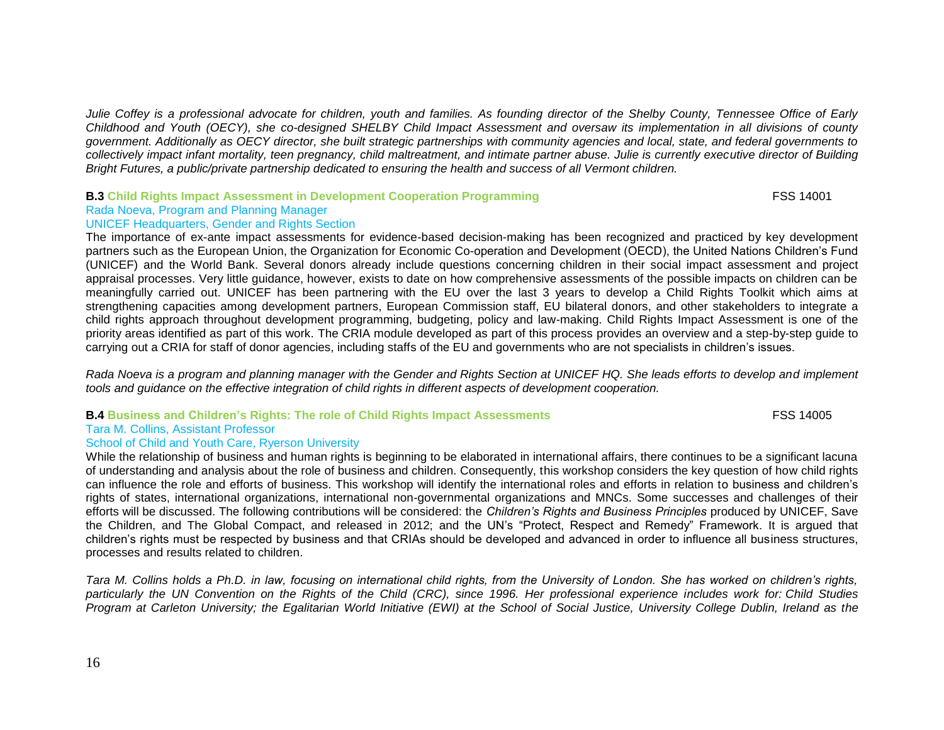*Julie Coffey is a professional advocate for children, youth and families. As founding director of the Shelby County, Tennessee Office of Early Childhood and Youth (OECY), she co-designed SHELBY Child Impact Assessment and oversaw its implementation in all divisions of county government. Additionally as OECY director, she built strategic partnerships with community agencies and local, state, and federal governments to collectively impact infant mortality, teen pregnancy, child maltreatment, and intimate partner abuse. Julie is currently executive director of Building Bright Futures, a public/private partnership dedicated to ensuring the health and success of all Vermont children.*

## **B.3** Child Rights Impact Assessment in Development Cooperation Programming FSS 14001

#### Rada Noeva, Program and Planning Manager UNICEF Headquarters, Gender and Rights Section

The importance of ex-ante impact assessments for evidence-based decision-making has been recognized and practiced by key development partners such as the European Union, the Organization for Economic Co-operation and Development (OECD), the United Nations Children"s Fund (UNICEF) and the World Bank. Several donors already include questions concerning children in their social impact assessment and project appraisal processes. Very little guidance, however, exists to date on how comprehensive assessments of the possible impacts on children can be meaningfully carried out. UNICEF has been partnering with the EU over the last 3 years to develop a Child Rights Toolkit which aims at strengthening capacities among development partners, European Commission staff, EU bilateral donors, and other stakeholders to integrate a child rights approach throughout development programming, budgeting, policy and law-making. Child Rights Impact Assessment is one of the priority areas identified as part of this work. The CRIA module developed as part of this process provides an overview and a step-by-step guide to carrying out a CRIA for staff of donor agencies, including staffs of the EU and governments who are not specialists in children"s issues.

*Rada Noeva is a program and planning manager with the Gender and Rights Section at UNICEF HQ. She leads efforts to develop and implement tools and guidance on the effective integration of child rights in different aspects of development cooperation.* 

### **B.4 Business and Children's Rights: The role of Child Rights Impact Assessments FSS 14005**

Tara M. Collins, Assistant Professor

### School of Child and Youth Care, Ryerson University

While the relationship of business and human rights is beginning to be elaborated in international affairs, there continues to be a significant lacuna of understanding and analysis about the role of business and children. Consequently, this workshop considers the key question of how child rights can influence the role and efforts of business. This workshop will identify the international roles and efforts in relation to business and children"s rights of states, international organizations, international non-governmental organizations and MNCs. Some successes and challenges of their efforts will be discussed. The following contributions will be considered: the *Children"s Rights and Business Principles* produced by UNICEF, Save the Children, and The Global Compact, and released in 2012; and the UN"s "Protect, Respect and Remedy" Framework. It is argued that children"s rights must be respected by business and that CRIAs should be developed and advanced in order to influence all business structures, processes and results related to children.

*Tara M. Collins holds a Ph.D. in law, focusing on international child rights, from the University of London. She has worked on children"s rights, particularly the UN Convention on the Rights of the Child (CRC), since 1996. Her professional experience includes work for: Child Studies Program at Carleton University; the Egalitarian World Initiative (EWI) at the School of Social Justice, University College Dublin, Ireland as the*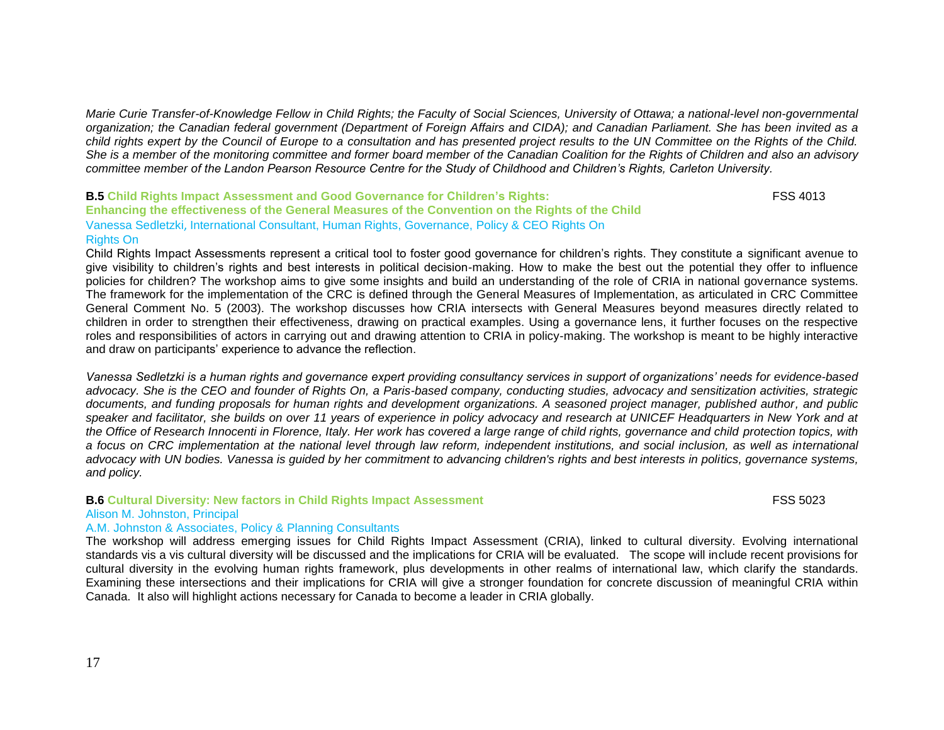*Marie Curie Transfer-of-Knowledge Fellow in Child Rights; the Faculty of Social Sciences, University of Ottawa; a national-level non-governmental organization; the Canadian federal government (Department of Foreign Affairs and CIDA); and Canadian Parliament. She has been invited as a child rights expert by the Council of Europe to a consultation and has presented project results to the UN Committee on the Rights of the Child. She is a member of the monitoring committee and former board member of the Canadian Coalition for the Rights of Children and also an advisory committee member of the Landon Pearson Resource Centre for the Study of Childhood and Children"s Rights, Carleton University.* 

**B.5 Child Rights Impact Assessment and Good Governance for Children's Rights:** FSS 4013 **Enhancing the effectiveness of the General Measures of the Convention on the Rights of the Child** Vanessa Sedletzki, International Consultant, Human Rights, Governance, Policy & CEO Rights On Rights On

Child Rights Impact Assessments represent a critical tool to foster good governance for children"s rights. They constitute a significant avenue to give visibility to children"s rights and best interests in political decision-making. How to make the best out the potential they offer to influence policies for children? The workshop aims to give some insights and build an understanding of the role of CRIA in national governance systems. The framework for the implementation of the CRC is defined through the General Measures of Implementation, as articulated in CRC Committee General Comment No. 5 (2003). The workshop discusses how CRIA intersects with General Measures beyond measures directly related to children in order to strengthen their effectiveness, drawing on practical examples. Using a governance lens, it further focuses on the respective roles and responsibilities of actors in carrying out and drawing attention to CRIA in policy-making. The workshop is meant to be highly interactive and draw on participants' experience to advance the reflection.

*Vanessa Sedletzki is a human rights and governance expert providing consultancy services in support of organizations" needs for evidence-based advocacy. She is the CEO and founder of Rights On, a Paris-based company, conducting studies, advocacy and sensitization activities, strategic documents, and funding proposals for human rights and development organizations. A seasoned project manager, published author, and public speaker and facilitator, she builds on over 11 years of experience in policy advocacy and research at UNICEF Headquarters in New York and at the Office of Research Innocenti in Florence, Italy. Her work has covered a large range of child rights, governance and child protection topics, with a focus on CRC implementation at the national level through law reform, independent institutions, and social inclusion, as well as international advocacy with UN bodies. Vanessa is guided by her commitment to advancing children's rights and best interests in politics, governance systems, and policy.*

#### **B.6 Cultural Diversity: New factors in Child Rights Impact Assessment** FSS 5023

### Alison M. Johnston, Principal

#### A.M. Johnston & Associates, Policy & Planning Consultants

The workshop will address emerging issues for Child Rights Impact Assessment (CRIA), linked to cultural diversity. Evolving international standards vis a vis cultural diversity will be discussed and the implications for CRIA will be evaluated. The scope will include recent provisions for cultural diversity in the evolving human rights framework, plus developments in other realms of international law, which clarify the standards. Examining these intersections and their implications for CRIA will give a stronger foundation for concrete discussion of meaningful CRIA within Canada. It also will highlight actions necessary for Canada to become a leader in CRIA globally.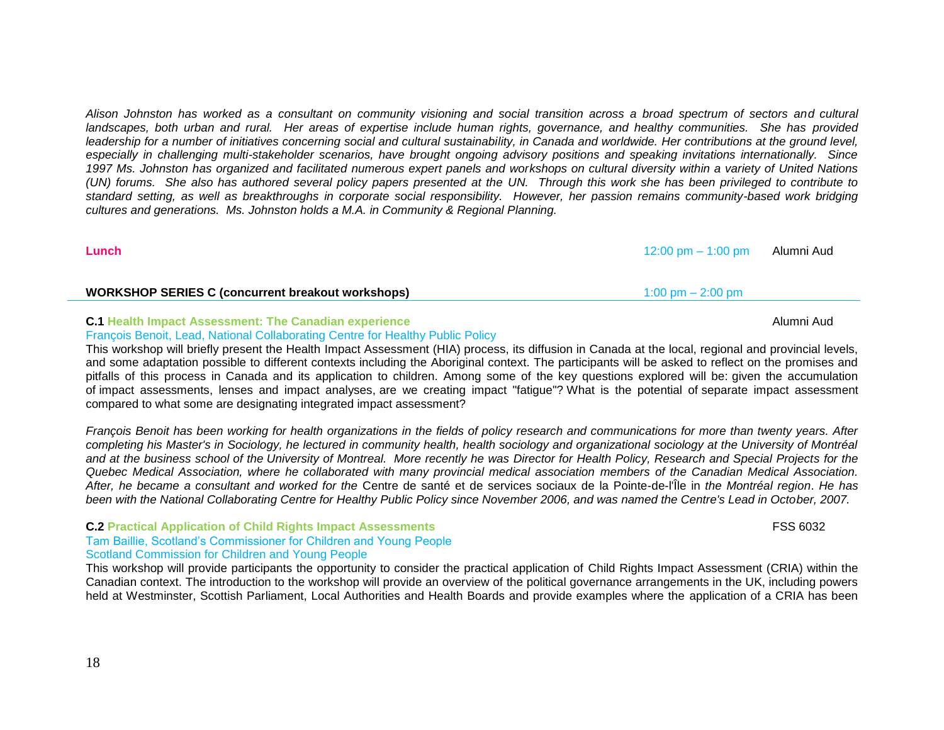*Alison Johnston has worked as a consultant on community visioning and social transition across a broad spectrum of sectors and cultural landscapes, both urban and rural. Her areas of expertise include human rights, governance, and healthy communities. She has provided*  leadership for a number of initiatives concerning social and cultural sustainability, in Canada and worldwide. Her contributions at the ground level, *especially in challenging multi-stakeholder scenarios, have brought ongoing advisory positions and speaking invitations internationally. Since 1997 Ms. Johnston has organized and facilitated numerous expert panels and workshops on cultural diversity within a variety of United Nations (UN) forums. She also has authored several policy papers presented at the UN. Through this work she has been privileged to contribute to standard setting, as well as breakthroughs in corporate social responsibility. However, her passion remains community-based work bridging cultures and generations. Ms. Johnston holds a M.A. in Community & Regional Planning.*

| Lunch                                                    | 12:00 pm $-$ 1:00 pm                | Alumni Aud |
|----------------------------------------------------------|-------------------------------------|------------|
| <b>WORKSHOP SERIES C (concurrent breakout workshops)</b> | $1:00 \text{ pm} - 2:00 \text{ pm}$ |            |
|                                                          |                                     |            |

# **C.1 Health Impact Assessment: The Canadian experience** Alumni Audio and Alumni Audio Alumni Audio Alumni Audio A

## François Benoit, Lead, National Collaborating Centre for Healthy Public Policy

This workshop will briefly present the Health Impact Assessment (HIA) process, its diffusion in Canada at the local, regional and provincial levels, and some adaptation possible to different contexts including the Aboriginal context. The participants will be asked to reflect on the promises and pitfalls of this process in Canada and its application to children. Among some of the key questions explored will be: given the accumulation of impact assessments, lenses and impact analyses, are we creating impact "fatigue"? What is the potential of separate impact assessment compared to what some are designating integrated impact assessment?

*François Benoit has been working for health organizations in the fields of policy research and communications for more than twenty years. After completing his Master's in Sociology, he lectured in community health, health sociology and organizational sociology at the University of Montréal and at the business school of the University of Montreal. More recently he was Director for Health Policy, Research and Special Projects for the Quebec Medical Association, where he collaborated with many provincial medical association members of the Canadian Medical Association. After, he became a consultant and worked for the* Centre de santé et de services sociaux de la Pointe-de-l'Île in *the Montréal region*. *He has been with the National Collaborating Centre for Healthy Public Policy since November 2006, and was named the Centre's Lead in October, 2007.*

#### **C.2 Practical Application of Child Rights Impact Assessments** FSS 6032 Tam Baillie, Scotland"s Commissioner for Children and Young People Scotland Commission for Children and Young People

This workshop will provide participants the opportunity to consider the practical application of Child Rights Impact Assessment (CRIA) within the Canadian context. The introduction to the workshop will provide an overview of the political governance arrangements in the UK, including powers held at Westminster, Scottish Parliament, Local Authorities and Health Boards and provide examples where the application of a CRIA has been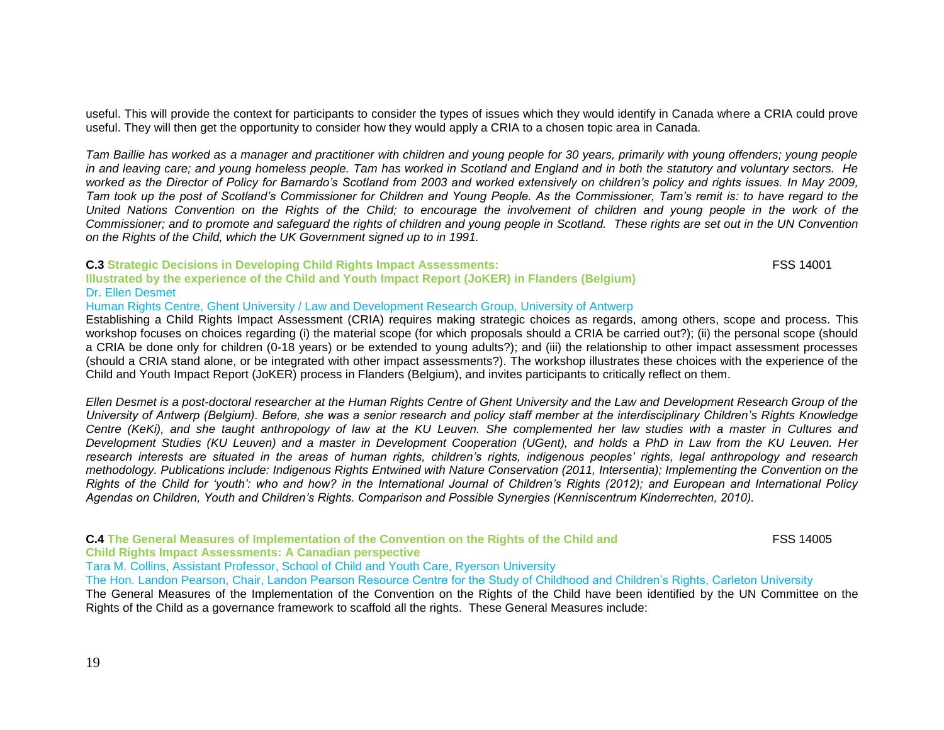useful. This will provide the context for participants to consider the types of issues which they would identify in Canada where a CRIA could prove useful. They will then get the opportunity to consider how they would apply a CRIA to a chosen topic area in Canada.

*Tam Baillie has worked as a manager and practitioner with children and young people for 30 years, primarily with young offenders; young people in and leaving care; and young homeless people. Tam has worked in Scotland and England and in both the statutory and voluntary sectors. He worked as the Director of Policy for Barnardo"s Scotland from 2003 and worked extensively on children"s policy and rights issues. In May 2009, Tam took up the post of Scotland"s Commissioner for Children and Young People. As the Commissioner, Tam"s remit is: to have regard to the United Nations Convention on the Rights of the Child; to encourage the involvement of children and young people in the work of the Commissioner; and to promote and safeguard the rights of children and young people in Scotland. These rights are set out in the UN Convention on the Rights of the Child, which the UK Government signed up to in 1991.*

#### **C.3 Strategic Decisions in Developing Child Rights Impact Assessments:** FSS 14001

**Illustrated by the experience of the Child and Youth Impact Report (JoKER) in Flanders (Belgium)** Dr. Ellen Desmet

Human Rights Centre, Ghent University / Law and Development Research Group, University of Antwerp

Establishing a Child Rights Impact Assessment (CRIA) requires making strategic choices as regards, among others, scope and process. This workshop focuses on choices regarding (i) the material scope (for which proposals should a CRIA be carried out?); (ii) the personal scope (should a CRIA be done only for children (0-18 years) or be extended to young adults?); and (iii) the relationship to other impact assessment processes (should a CRIA stand alone, or be integrated with other impact assessments?). The workshop illustrates these choices with the experience of the Child and Youth Impact Report (JoKER) process in Flanders (Belgium), and invites participants to critically reflect on them.

*Ellen Desmet is a post-doctoral researcher at the Human Rights Centre of Ghent University and the Law and Development Research Group of the University of Antwerp (Belgium). Before, she was a senior research and policy staff member at the interdisciplinary Children"s Rights Knowledge Centre (KeKi), and she taught anthropology of law at the KU Leuven. She complemented her law studies with a master in Cultures and Development Studies (KU Leuven) and a master in Development Cooperation (UGent), and holds a PhD in Law from the KU Leuven. Her research interests are situated in the areas of human rights, children"s rights, indigenous peoples" rights, legal anthropology and research methodology. Publications include: Indigenous Rights Entwined with Nature Conservation (2011, Intersentia); Implementing the Convention on the Rights of the Child for "youth": who and how? in the International Journal of Children"s Rights (2012); and European and International Policy Agendas on Children, Youth and Children"s Rights. Comparison and Possible Synergies (Kenniscentrum Kinderrechten, 2010).*

**C.4 The General Measures of Implementation of the Convention on the Rights of the Child and** FSS 14005 **Child Rights Impact Assessments: A Canadian perspective** Tara M. Collins, Assistant Professor, School of Child and Youth Care, Ryerson University The Hon. Landon Pearson, Chair, Landon Pearson Resource Centre for the Study of Childhood and Children"s Rights, Carleton University The General Measures of the Implementation of the Convention on the Rights of the Child have been identified by the UN Committee on the Rights of the Child as a governance framework to scaffold all the rights. These General Measures include: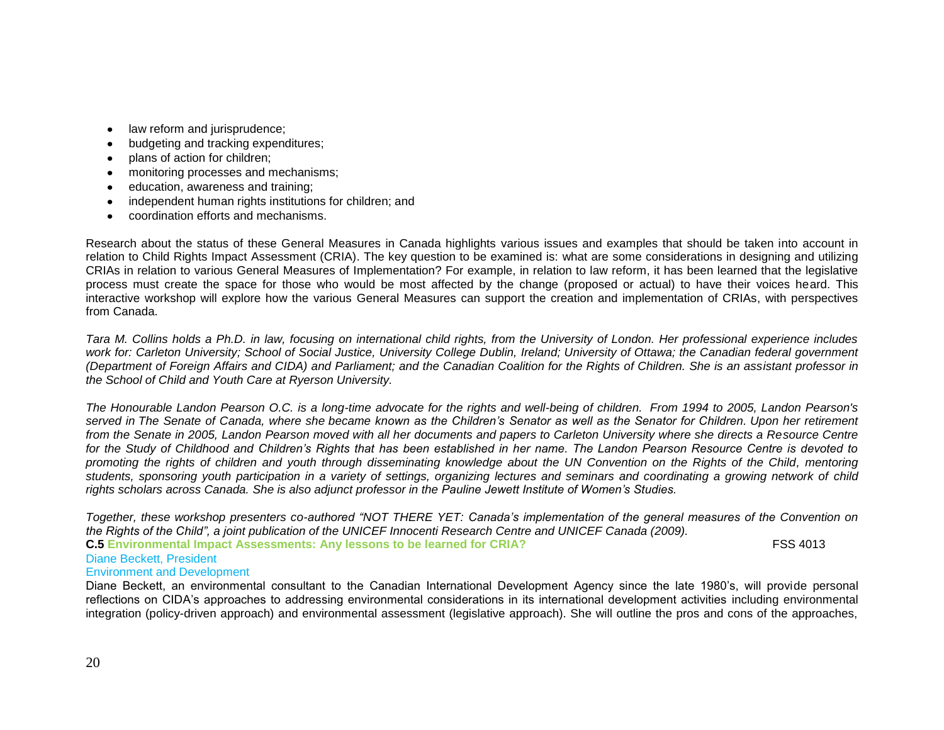- $\bullet$ law reform and jurisprudence;
- budgeting and tracking expenditures;
- plans of action for children;  $\bullet$
- monitoring processes and mechanisms;  $\bullet$
- education, awareness and training;  $\bullet$
- independent human rights institutions for children; and  $\bullet$
- coordination efforts and mechanisms.  $\bullet$

Research about the status of these General Measures in Canada highlights various issues and examples that should be taken into account in relation to Child Rights Impact Assessment (CRIA). The key question to be examined is: what are some considerations in designing and utilizing CRIAs in relation to various General Measures of Implementation? For example, in relation to law reform, it has been learned that the legislative process must create the space for those who would be most affected by the change (proposed or actual) to have their voices heard. This interactive workshop will explore how the various General Measures can support the creation and implementation of CRIAs, with perspectives from Canada.

*Tara M. Collins holds a Ph.D. in law, focusing on international child rights, from the University of London. Her professional experience includes work for: Carleton University; School of Social Justice, University College Dublin, Ireland; University of Ottawa; the Canadian federal government (Department of Foreign Affairs and CIDA) and Parliament; and the Canadian Coalition for the Rights of Children. She is an assistant professor in the School of Child and Youth Care at Ryerson University.* 

*The Honourable Landon Pearson O.C. is a long-time advocate for the rights and well-being of children. From 1994 to 2005, Landon Pearson's served in The Senate of Canada, where she became known as the Children"s Senator as well as the Senator for Children. Upon her retirement from the Senate in 2005, Landon Pearson moved with all her documents and papers to Carleton University where she directs a Resource Centre for the Study of Childhood and Children"s Rights that has been established in her name. The Landon Pearson Resource Centre is devoted to promoting the rights of children and youth through disseminating knowledge about the UN Convention on the Rights of the Child, mentoring students, sponsoring youth participation in a variety of settings, organizing lectures and seminars and coordinating a growing network of child rights scholars across Canada. She is also adjunct professor in the [Pauline Jewett Institute of Women"s Studies.](http://www1.carleton.ca/womensstudies/)*

*Together, these workshop presenters co-authored "NOT THERE YET: Canada"s implementation of the general measures of the Convention on the Rights of the Child", a joint publication of the UNICEF Innocenti Research Centre and UNICEF Canada (2009).* 

**C.5** Environmental Impact Assessments: Any lessons to be learned for CRIA? FSS 4013 Diane Beckett, President

## Environment and Development

Diane Beckett, an environmental consultant to the Canadian International Development Agency since the late 1980"s, will provide personal reflections on CIDA"s approaches to addressing environmental considerations in its international development activities including environmental integration (policy-driven approach) and environmental assessment (legislative approach). She will outline the pros and cons of the approaches,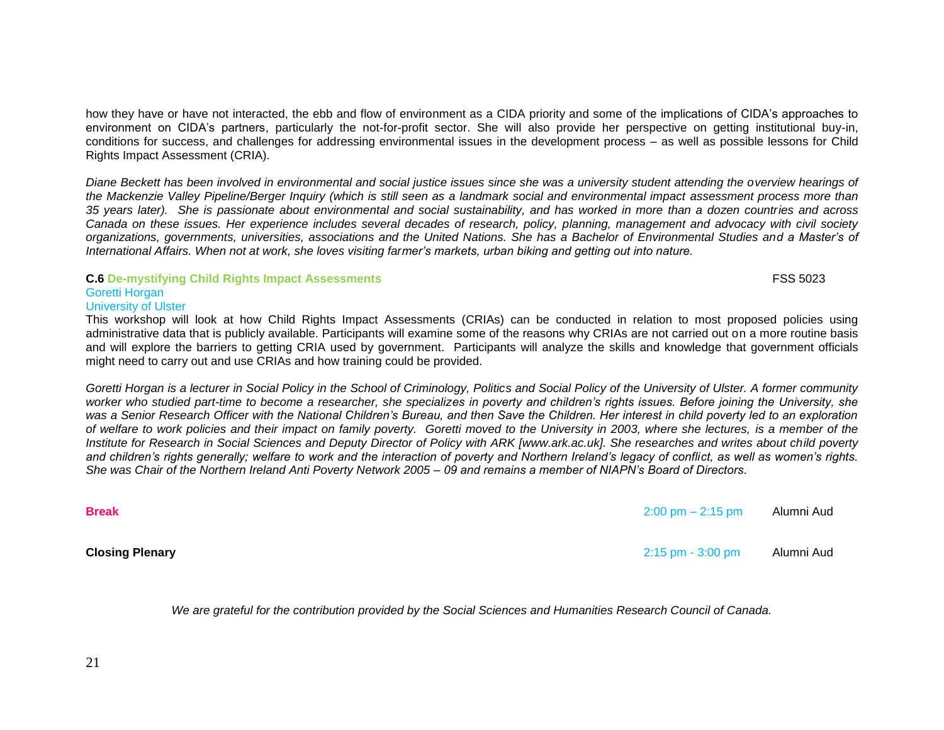how they have or have not interacted, the ebb and flow of environment as a CIDA priority and some of the implications of CIDA"s approaches to environment on CIDA"s partners, particularly the not-for-profit sector. She will also provide her perspective on getting institutional buy-in, conditions for success, and challenges for addressing environmental issues in the development process – as well as possible lessons for Child Rights Impact Assessment (CRIA).

*Diane Beckett has been involved in environmental and social justice issues since she was a university student attending the overview hearings of the Mackenzie Valley Pipeline/Berger Inquiry (which is still seen as a landmark social and environmental impact assessment process more than 35 years later). She is passionate about environmental and social sustainability, and has worked in more than a dozen countries and across Canada on these issues. Her experience includes several decades of research, policy, planning, management and advocacy with civil society organizations, governments, universities, associations and the United Nations. She has a Bachelor of Environmental Studies and a Master"s of International Affairs. When not at work, she loves visiting farmer"s markets, urban biking and getting out into nature.*

# **C.6 De-mystifying Child Rights Impact Assessments** FSS 5023

## Goretti Horgan

## University of Ulster

This workshop will look at how Child Rights Impact Assessments (CRIAs) can be conducted in relation to most proposed policies using administrative data that is publicly available. Participants will examine some of the reasons why CRIAs are not carried out on a more routine basis and will explore the barriers to getting CRIA used by government. Participants will analyze the skills and knowledge that government officials might need to carry out and use CRIAs and how training could be provided.

*Goretti Horgan is a lecturer in Social Policy in the School of Criminology, Politics and Social Policy of the University of Ulster. A former community worker who studied part-time to become a researcher, she specializes in poverty and children"s rights issues. Before joining the University, she*  was a Senior Research Officer with the National Children's Bureau, and then Save the Children. Her interest in child poverty led to an exploration *of welfare to work policies and their impact on family poverty. Goretti moved to the University in 2003, where she lectures, is a member of the Institute for Research in Social Sciences and Deputy Director of Policy with ARK [www.ark.ac.uk]. She researches and writes about child poverty and children"s rights generally; welfare to work and the interaction of poverty and Northern Ireland"s legacy of conflict, as well as women"s rights. She was Chair of the Northern Ireland Anti Poverty Network 2005 – 09 and remains a member of NIAPN"s Board of Directors.*

**Break** 2:00 pm – 2:15 pm Alumni Aud

**Closing Plenary** 2:15 pm - 3:00 pm Alumni Aud

*We are grateful for the contribution provided by the Social Sciences and Humanities Research Council of Canada.*